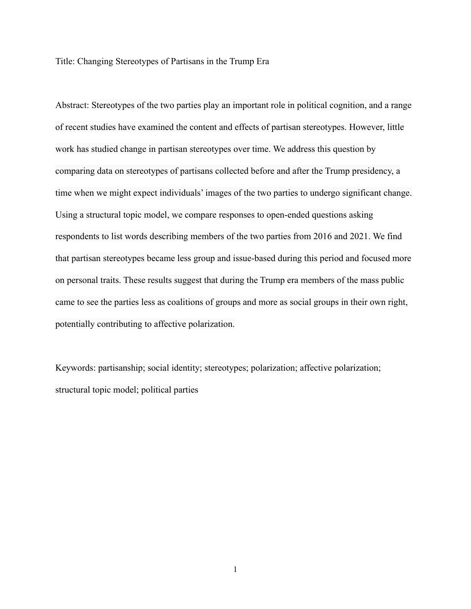Title: Changing Stereotypes of Partisans in the Trump Era

Abstract: Stereotypes of the two parties play an important role in political cognition, and a range of recent studies have examined the content and effects of partisan stereotypes. However, little work has studied change in partisan stereotypes over time. We address this question by comparing data on stereotypes of partisans collected before and after the Trump presidency, a time when we might expect individuals' images of the two parties to undergo significant change. Using a structural topic model, we compare responses to open-ended questions asking respondents to list words describing members of the two parties from 2016 and 2021. We find that partisan stereotypes became less group and issue-based during this period and focused more on personal traits. These results suggest that during the Trump era members of the mass public came to see the parties less as coalitions of groups and more as social groups in their own right, potentially contributing to affective polarization.

Keywords: partisanship; social identity; stereotypes; polarization; affective polarization; structural topic model; political parties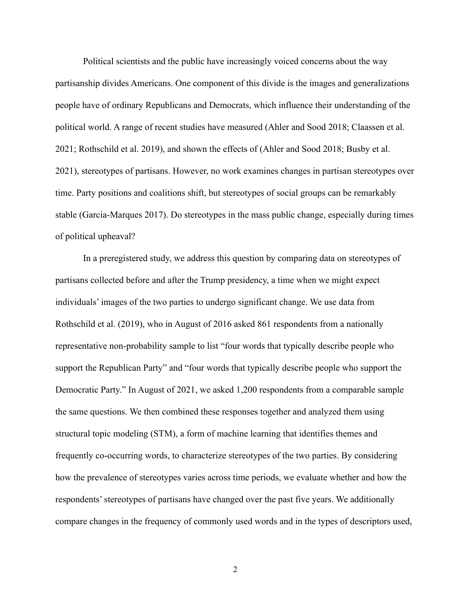Political scientists and the public have increasingly voiced concerns about the way partisanship divides Americans. One component of this divide is the images and generalizations people have of ordinary Republicans and Democrats, which influence their understanding of the political world. A range of recent studies have measured (Ahler and Sood 2018; Claassen et al. 2021; Rothschild et al. 2019), and shown the effects of (Ahler and Sood 2018; Busby et al. 2021), stereotypes of partisans. However, no work examines changes in partisan stereotypes over time. Party positions and coalitions shift, but stereotypes of social groups can be remarkably stable (Garcia-Marques 2017). Do stereotypes in the mass public change, especially during times of political upheaval?

In a preregistered study, we address this question by comparing data on stereotypes of partisans collected before and after the Trump presidency, a time when we might expect individuals' images of the two parties to undergo significant change. We use data from Rothschild et al. (2019), who in August of 2016 asked 861 respondents from a nationally representative non-probability sample to list "four words that typically describe people who support the Republican Party" and "four words that typically describe people who support the Democratic Party." In August of 2021, we asked 1,200 respondents from a comparable sample the same questions. We then combined these responses together and analyzed them using structural topic modeling (STM), a form of machine learning that identifies themes and frequently co-occurring words, to characterize stereotypes of the two parties. By considering how the prevalence of stereotypes varies across time periods, we evaluate whether and how the respondents' stereotypes of partisans have changed over the past five years. We additionally compare changes in the frequency of commonly used words and in the types of descriptors used,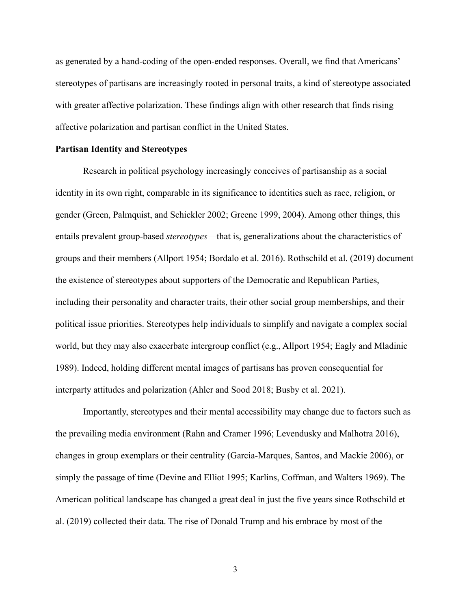as generated by a hand-coding of the open-ended responses. Overall, we find that Americans' stereotypes of partisans are increasingly rooted in personal traits, a kind of stereotype associated with greater affective polarization. These findings align with other research that finds rising affective polarization and partisan conflict in the United States.

## **Partisan Identity and Stereotypes**

Research in political psychology increasingly conceives of partisanship as a social identity in its own right, comparable in its significance to identities such as race, religion, or gender (Green, Palmquist, and Schickler 2002; Greene 1999, 2004). Among other things, this entails prevalent group-based *stereotypes*—that is, generalizations about the characteristics of groups and their members (Allport 1954; Bordalo et al. 2016). Rothschild et al. (2019) document the existence of stereotypes about supporters of the Democratic and Republican Parties, including their personality and character traits, their other social group memberships, and their political issue priorities. Stereotypes help individuals to simplify and navigate a complex social world, but they may also exacerbate intergroup conflict (e.g., Allport 1954; Eagly and Mladinic 1989). Indeed, holding different mental images of partisans has proven consequential for interparty attitudes and polarization (Ahler and Sood 2018; Busby et al. 2021).

Importantly, stereotypes and their mental accessibility may change due to factors such as the prevailing media environment (Rahn and Cramer 1996; Levendusky and Malhotra 2016), changes in group exemplars or their centrality (Garcia-Marques, Santos, and Mackie 2006), or simply the passage of time (Devine and Elliot 1995; Karlins, Coffman, and Walters 1969). The American political landscape has changed a great deal in just the five years since Rothschild et al. (2019) collected their data. The rise of Donald Trump and his embrace by most of the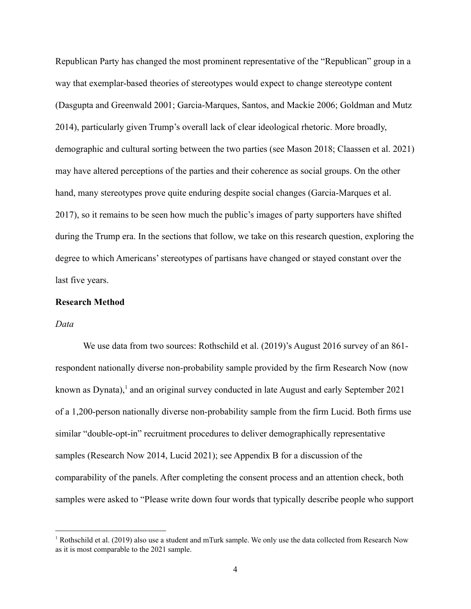Republican Party has changed the most prominent representative of the "Republican" group in a way that exemplar-based theories of stereotypes would expect to change stereotype content (Dasgupta and Greenwald 2001; Garcia-Marques, Santos, and Mackie 2006; Goldman and Mutz 2014), particularly given Trump's overall lack of clear ideological rhetoric. More broadly, demographic and cultural sorting between the two parties (see Mason 2018; Claassen et al. 2021) may have altered perceptions of the parties and their coherence as social groups. On the other hand, many stereotypes prove quite enduring despite social changes (Garcia-Marques et al. 2017), so it remains to be seen how much the public's images of party supporters have shifted during the Trump era. In the sections that follow, we take on this research question, exploring the degree to which Americans' stereotypes of partisans have changed or stayed constant over the last five years.

#### **Research Method**

#### *Data*

We use data from two sources: Rothschild et al. (2019)'s August 2016 survey of an 861 respondent nationally diverse non-probability sample provided by the firm Research Now (now known as Dynata), $\frac{1}{2}$  and an original survey conducted in late August and early September 2021 of a 1,200-person nationally diverse non-probability sample from the firm Lucid. Both firms use similar "double-opt-in" recruitment procedures to deliver demographically representative samples (Research Now 2014, Lucid 2021); see Appendix B for a discussion of the comparability of the panels. After completing the consent process and an attention check, both samples were asked to "Please write down four words that typically describe people who support

<sup>&</sup>lt;sup>1</sup> Rothschild et al. (2019) also use a student and mTurk sample. We only use the data collected from Research Now as it is most comparable to the 2021 sample.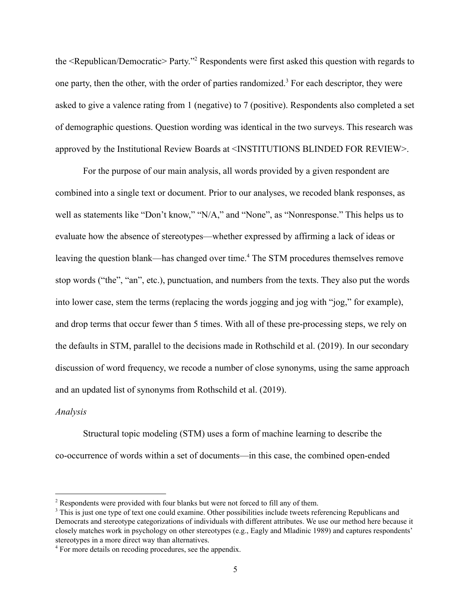the <Republican/Democratic> Party."<sup>2</sup> Respondents were first asked this question with regards to one party, then the other, with the order of parties randomized.<sup>3</sup> For each descriptor, they were asked to give a valence rating from 1 (negative) to 7 (positive). Respondents also completed a set of demographic questions. Question wording was identical in the two surveys. This research was approved by the Institutional Review Boards at <INSTITUTIONS BLINDED FOR REVIEW>.

For the purpose of our main analysis, all words provided by a given respondent are combined into a single text or document. Prior to our analyses, we recoded blank responses, as well as statements like "Don't know," "N/A," and "None", as "Nonresponse." This helps us to evaluate how the absence of stereotypes—whether expressed by affirming a lack of ideas or leaving the question blank—has changed over time.<sup>4</sup> The STM procedures themselves remove stop words ("the", "an", etc.), punctuation, and numbers from the texts. They also put the words into lower case, stem the terms (replacing the words jogging and jog with "jog," for example), and drop terms that occur fewer than 5 times. With all of these pre-processing steps, we rely on the defaults in STM, parallel to the decisions made in Rothschild et al. (2019). In our secondary discussion of word frequency, we recode a number of close synonyms, using the same approach and an updated list of synonyms from Rothschild et al. (2019).

# *Analysis*

Structural topic modeling (STM) uses a form of machine learning to describe the co-occurrence of words within a set of documents—in this case, the combined open-ended

<sup>&</sup>lt;sup>2</sup> Respondents were provided with four blanks but were not forced to fill any of them.

<sup>&</sup>lt;sup>3</sup> This is just one type of text one could examine. Other possibilities include tweets referencing Republicans and Democrats and stereotype categorizations of individuals with different attributes. We use our method here because it closely matches work in psychology on other stereotypes (e.g., Eagly and Mladinic 1989) and captures respondents' stereotypes in a more direct way than alternatives.

<sup>4</sup> For more details on recoding procedures, see the appendix.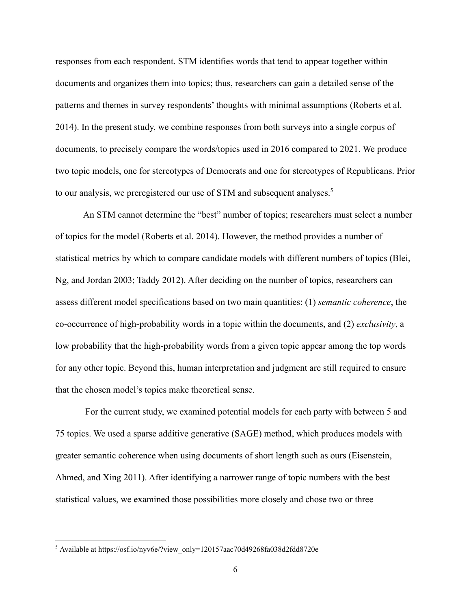responses from each respondent. STM identifies words that tend to appear together within documents and organizes them into topics; thus, researchers can gain a detailed sense of the patterns and themes in survey respondents' thoughts with minimal assumptions (Roberts et al. 2014). In the present study, we combine responses from both surveys into a single corpus of documents, to precisely compare the words/topics used in 2016 compared to 2021. We produce two topic models, one for stereotypes of Democrats and one for stereotypes of Republicans. Prior to our analysis, we preregistered our use of STM and subsequent analyses.<sup>5</sup>

An STM cannot determine the "best" number of topics; researchers must select a number of topics for the model (Roberts et al. 2014). However, the method provides a number of statistical metrics by which to compare candidate models with different numbers of topics (Blei, Ng, and Jordan 2003; Taddy 2012). After deciding on the number of topics, researchers can assess different model specifications based on two main quantities: (1) *semantic coherence*, the co-occurrence of high-probability words in a topic within the documents, and (2) *exclusivity*, a low probability that the high-probability words from a given topic appear among the top words for any other topic. Beyond this, human interpretation and judgment are still required to ensure that the chosen model's topics make theoretical sense.

For the current study, we examined potential models for each party with between 5 and 75 topics. We used a sparse additive generative (SAGE) method, which produces models with greater semantic coherence when using documents of short length such as ours (Eisenstein, Ahmed, and Xing 2011). After identifying a narrower range of topic numbers with the best statistical values, we examined those possibilities more closely and chose two or three

<sup>5</sup> Available at https://osf.io/nyv6e/?view\_only=120157aac70d49268fa038d2fdd8720e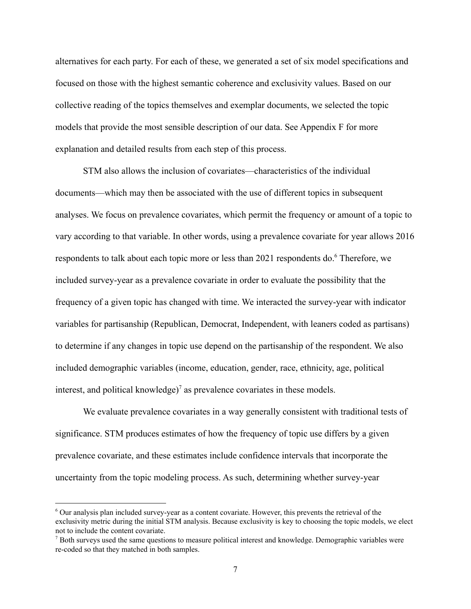alternatives for each party. For each of these, we generated a set of six model specifications and focused on those with the highest semantic coherence and exclusivity values. Based on our collective reading of the topics themselves and exemplar documents, we selected the topic models that provide the most sensible description of our data. See Appendix F for more explanation and detailed results from each step of this process.

STM also allows the inclusion of covariates—characteristics of the individual documents—which may then be associated with the use of different topics in subsequent analyses. We focus on prevalence covariates, which permit the frequency or amount of a topic to vary according to that variable. In other words, using a prevalence covariate for year allows 2016 respondents to talk about each topic more or less than 2021 respondents do. Therefore, we included survey-year as a prevalence covariate in order to evaluate the possibility that the frequency of a given topic has changed with time. We interacted the survey-year with indicator variables for partisanship (Republican, Democrat, Independent, with leaners coded as partisans) to determine if any changes in topic use depend on the partisanship of the respondent. We also included demographic variables (income, education, gender, race, ethnicity, age, political interest, and political knowledge)<sup> $\sigma$ </sup> as prevalence covariates in these models.

We evaluate prevalence covariates in a way generally consistent with traditional tests of significance. STM produces estimates of how the frequency of topic use differs by a given prevalence covariate, and these estimates include confidence intervals that incorporate the uncertainty from the topic modeling process. As such, determining whether survey-year

<sup>6</sup> Our analysis plan included survey-year as a content covariate. However, this prevents the retrieval of the exclusivity metric during the initial STM analysis. Because exclusivity is key to choosing the topic models, we elect not to include the content covariate.

 $<sup>7</sup>$  Both surveys used the same questions to measure political interest and knowledge. Demographic variables were</sup> re-coded so that they matched in both samples.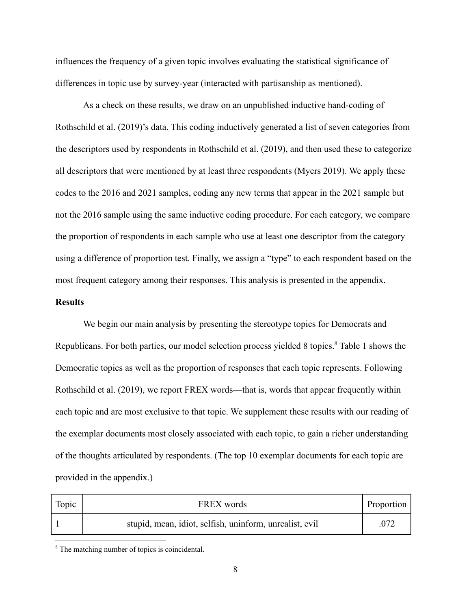influences the frequency of a given topic involves evaluating the statistical significance of differences in topic use by survey-year (interacted with partisanship as mentioned).

As a check on these results, we draw on an unpublished inductive hand-coding of Rothschild et al. (2019)'s data. This coding inductively generated a list of seven categories from the descriptors used by respondents in Rothschild et al. (2019), and then used these to categorize all descriptors that were mentioned by at least three respondents (Myers 2019). We apply these codes to the 2016 and 2021 samples, coding any new terms that appear in the 2021 sample but not the 2016 sample using the same inductive coding procedure. For each category, we compare the proportion of respondents in each sample who use at least one descriptor from the category using a difference of proportion test. Finally, we assign a "type" to each respondent based on the most frequent category among their responses. This analysis is presented in the appendix.

# **Results**

We begin our main analysis by presenting the stereotype topics for Democrats and Republicans. For both parties, our model selection process yielded 8 topics.<sup>8</sup> Table 1 shows the Democratic topics as well as the proportion of responses that each topic represents. Following Rothschild et al. (2019), we report FREX words—that is, words that appear frequently within each topic and are most exclusive to that topic. We supplement these results with our reading of the exemplar documents most closely associated with each topic, to gain a richer understanding of the thoughts articulated by respondents. (The top 10 exemplar documents for each topic are provided in the appendix.)

| Topic | FREX words                                              | Proportion |
|-------|---------------------------------------------------------|------------|
|       | stupid, mean, idiot, selfish, uninform, unrealist, evil | .072       |

<sup>&</sup>lt;sup>8</sup> The matching number of topics is coincidental.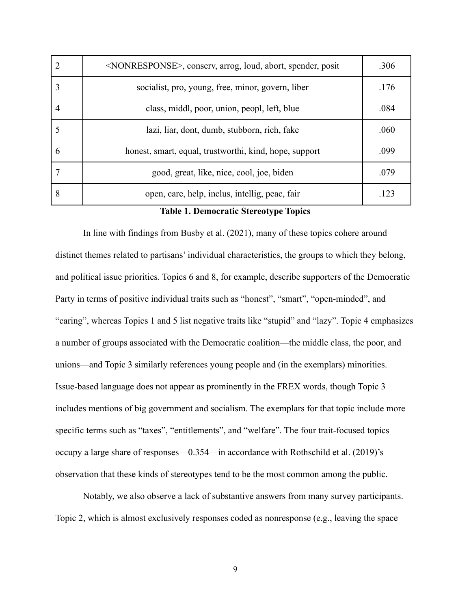| 2 | <nonresponse>, conserv, arrog, loud, abort, spender, posit</nonresponse> | .306 |
|---|--------------------------------------------------------------------------|------|
|   | socialist, pro, young, free, minor, govern, liber                        | .176 |
|   | class, middl, poor, union, peopl, left, blue                             | .084 |
|   | lazi, liar, dont, dumb, stubborn, rich, fake                             | .060 |
|   | honest, smart, equal, trustworthi, kind, hope, support                   | .099 |
|   | good, great, like, nice, cool, joe, biden                                | .079 |
|   | open, care, help, inclus, intellig, peac, fair                           | -123 |

#### **Table 1. Democratic Stereotype Topics**

In line with findings from Busby et al. (2021), many of these topics cohere around distinct themes related to partisans' individual characteristics, the groups to which they belong, and political issue priorities. Topics 6 and 8, for example, describe supporters of the Democratic Party in terms of positive individual traits such as "honest", "smart", "open-minded", and "caring", whereas Topics 1 and 5 list negative traits like "stupid" and "lazy". Topic 4 emphasizes a number of groups associated with the Democratic coalition—the middle class, the poor, and unions—and Topic 3 similarly references young people and (in the exemplars) minorities. Issue-based language does not appear as prominently in the FREX words, though Topic 3 includes mentions of big government and socialism. The exemplars for that topic include more specific terms such as "taxes", "entitlements", and "welfare". The four trait-focused topics occupy a large share of responses—0.354—in accordance with Rothschild et al. (2019)'s observation that these kinds of stereotypes tend to be the most common among the public.

Notably, we also observe a lack of substantive answers from many survey participants. Topic 2, which is almost exclusively responses coded as nonresponse (e.g., leaving the space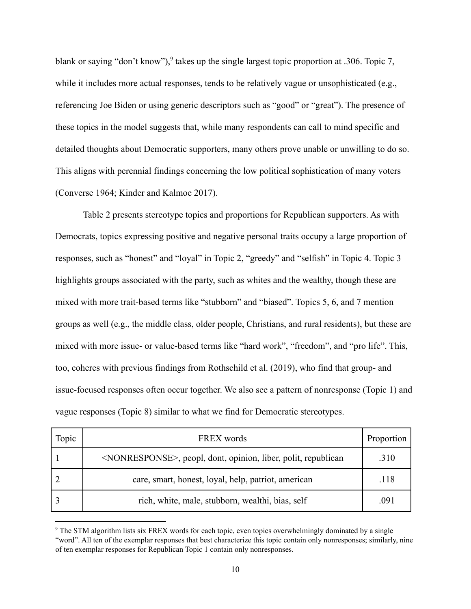blank or saying "don't know"), takes up the single largest topic proportion at .306. Topic 7, while it includes more actual responses, tends to be relatively vague or unsophisticated (e.g., referencing Joe Biden or using generic descriptors such as "good" or "great"). The presence of these topics in the model suggests that, while many respondents can call to mind specific and detailed thoughts about Democratic supporters, many others prove unable or unwilling to do so. This aligns with perennial findings concerning the low political sophistication of many voters (Converse 1964; Kinder and Kalmoe 2017).

Table 2 presents stereotype topics and proportions for Republican supporters. As with Democrats, topics expressing positive and negative personal traits occupy a large proportion of responses, such as "honest" and "loyal" in Topic 2, "greedy" and "selfish" in Topic 4. Topic 3 highlights groups associated with the party, such as whites and the wealthy, though these are mixed with more trait-based terms like "stubborn" and "biased". Topics 5, 6, and 7 mention groups as well (e.g., the middle class, older people, Christians, and rural residents), but these are mixed with more issue- or value-based terms like "hard work", "freedom", and "pro life". This, too, coheres with previous findings from Rothschild et al. (2019), who find that group- and issue-focused responses often occur together. We also see a pattern of nonresponse (Topic 1) and vague responses (Topic 8) similar to what we find for Democratic stereotypes.

| Topic | FREX words                                                                  | Proportion |
|-------|-----------------------------------------------------------------------------|------------|
|       | <nonresponse>, peopl, dont, opinion, liber, polit, republican</nonresponse> | .310       |
|       | care, smart, honest, loyal, help, patriot, american                         | .118       |
|       | rich, white, male, stubborn, wealthi, bias, self                            | .091       |

<sup>&</sup>lt;sup>9</sup> The STM algorithm lists six FREX words for each topic, even topics overwhelmingly dominated by a single "word". All ten of the exemplar responses that best characterize this topic contain only nonresponses; similarly, nine of ten exemplar responses for Republican Topic 1 contain only nonresponses.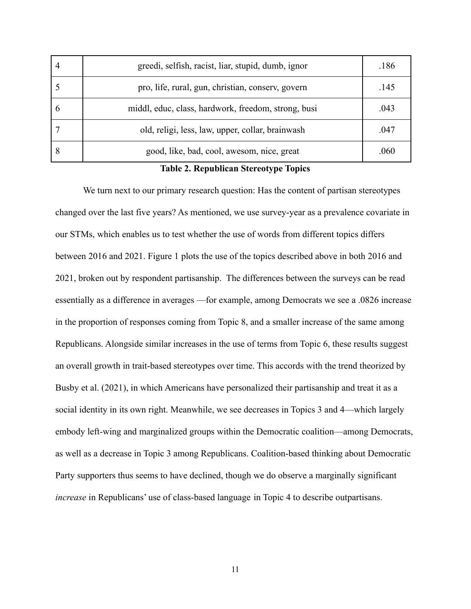|             | greedi, selfish, racist, liar, stupid, dumb, ignor  | .186 |
|-------------|-----------------------------------------------------|------|
|             | pro, life, rural, gun, christian, conserv, govern   | .145 |
| $\mathbf b$ | middl, educ, class, hardwork, freedom, strong, busi | .043 |
|             | old, religi, less, law, upper, collar, brainwash    | .047 |
| 8           | good, like, bad, cool, awesom, nice, great          | .060 |

## **Table 2. Republican Stereotype Topics**

We turn next to our primary research question: Has the content of partisan stereotypes changed over the last five years? As mentioned, we use survey-year as a prevalence covariate in our STMs, which enables us to test whether the use of words from different topics differs between 2016 and 2021. Figure 1 plots the use of the topics described above in both 2016 and 2021, broken out by respondent partisanship. The differences between the surveys can be read essentially as a difference in averages —for example, among Democrats we see a .0826 increase in the proportion of responses coming from Topic 8, and a smaller increase of the same among Republicans. Alongside similar increases in the use of terms from Topic 6, these results suggest an overall growth in trait-based stereotypes over time. This accords with the trend theorized by Busby et al. (2021), in which Americans have personalized their partisanship and treat it as a social identity in its own right. Meanwhile, we see decreases in Topics 3 and 4—which largely embody left-wing and marginalized groups within the Democratic coalition—among Democrats, as well as a decrease in Topic 3 among Republicans. Coalition-based thinking about Democratic Party supporters thus seems to have declined, though we do observe a marginally significant *increase* in Republicans' use of class-based language in Topic 4 to describe outpartisans.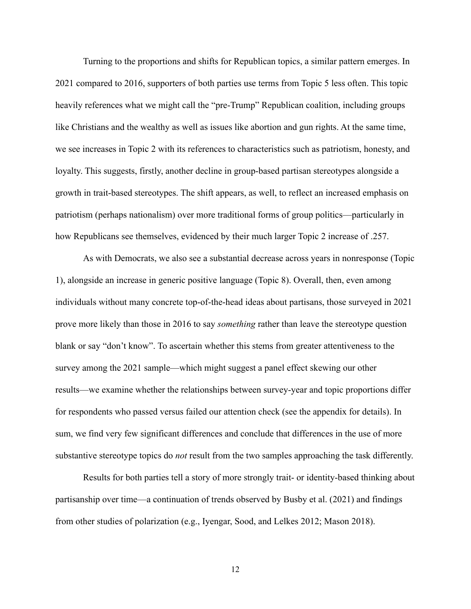Turning to the proportions and shifts for Republican topics, a similar pattern emerges. In 2021 compared to 2016, supporters of both parties use terms from Topic 5 less often. This topic heavily references what we might call the "pre-Trump" Republican coalition, including groups like Christians and the wealthy as well as issues like abortion and gun rights. At the same time, we see increases in Topic 2 with its references to characteristics such as patriotism, honesty, and loyalty. This suggests, firstly, another decline in group-based partisan stereotypes alongside a growth in trait-based stereotypes. The shift appears, as well, to reflect an increased emphasis on patriotism (perhaps nationalism) over more traditional forms of group politics—particularly in how Republicans see themselves, evidenced by their much larger Topic 2 increase of .257.

As with Democrats, we also see a substantial decrease across years in nonresponse (Topic 1), alongside an increase in generic positive language (Topic 8). Overall, then, even among individuals without many concrete top-of-the-head ideas about partisans, those surveyed in 2021 prove more likely than those in 2016 to say *something* rather than leave the stereotype question blank or say "don't know". To ascertain whether this stems from greater attentiveness to the survey among the 2021 sample—which might suggest a panel effect skewing our other results—we examine whether the relationships between survey-year and topic proportions differ for respondents who passed versus failed our attention check (see the appendix for details). In sum, we find very few significant differences and conclude that differences in the use of more substantive stereotype topics do *not* result from the two samples approaching the task differently.

Results for both parties tell a story of more strongly trait- or identity-based thinking about partisanship over time—a continuation of trends observed by Busby et al. (2021) and findings from other studies of polarization (e.g., Iyengar, Sood, and Lelkes 2012; Mason 2018).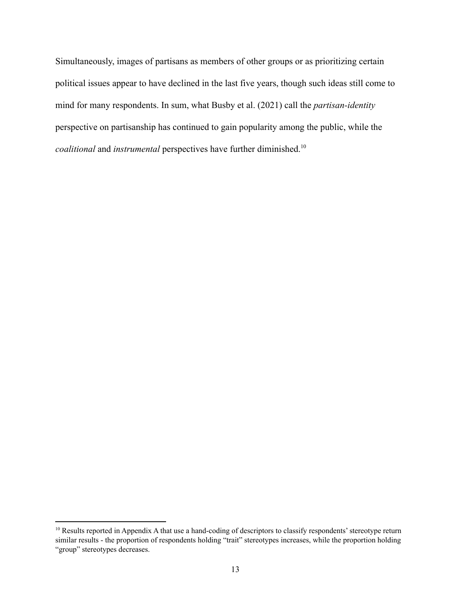Simultaneously, images of partisans as members of other groups or as prioritizing certain political issues appear to have declined in the last five years, though such ideas still come to mind for many respondents. In sum, what Busby et al. (2021) call the *partisan-identity* perspective on partisanship has continued to gain popularity among the public, while the *coalitional* and *instrumental* perspectives have further diminished.<sup>10</sup>

<sup>&</sup>lt;sup>10</sup> Results reported in Appendix A that use a hand-coding of descriptors to classify respondents' stereotype return similar results - the proportion of respondents holding "trait" stereotypes increases, while the proportion holding "group" stereotypes decreases.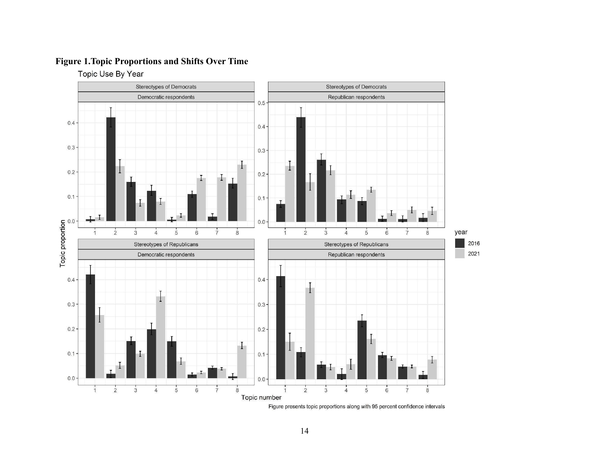# **Figure 1.Topic Proportions and Shifts Over Time**

Topic Use By Year



Figure presents topic proportions along with 95 percent confidence intervals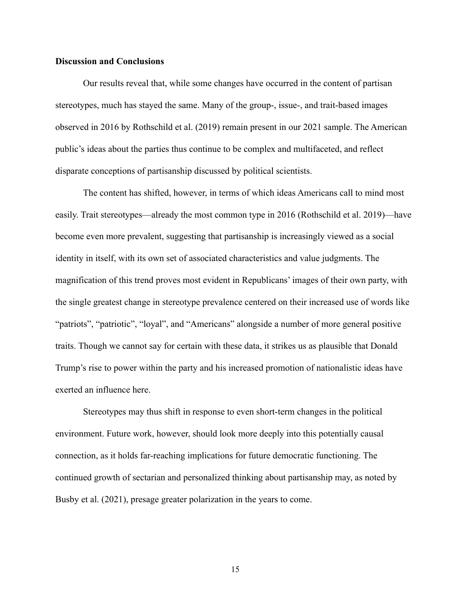## **Discussion and Conclusions**

Our results reveal that, while some changes have occurred in the content of partisan stereotypes, much has stayed the same. Many of the group-, issue-, and trait-based images observed in 2016 by Rothschild et al. (2019) remain present in our 2021 sample. The American public's ideas about the parties thus continue to be complex and multifaceted, and reflect disparate conceptions of partisanship discussed by political scientists.

The content has shifted, however, in terms of which ideas Americans call to mind most easily. Trait stereotypes—already the most common type in 2016 (Rothschild et al. 2019)—have become even more prevalent, suggesting that partisanship is increasingly viewed as a social identity in itself, with its own set of associated characteristics and value judgments. The magnification of this trend proves most evident in Republicans' images of their own party, with the single greatest change in stereotype prevalence centered on their increased use of words like "patriots", "patriotic", "loyal", and "Americans" alongside a number of more general positive traits. Though we cannot say for certain with these data, it strikes us as plausible that Donald Trump's rise to power within the party and his increased promotion of nationalistic ideas have exerted an influence here.

Stereotypes may thus shift in response to even short-term changes in the political environment. Future work, however, should look more deeply into this potentially causal connection, as it holds far-reaching implications for future democratic functioning. The continued growth of sectarian and personalized thinking about partisanship may, as noted by Busby et al. (2021), presage greater polarization in the years to come.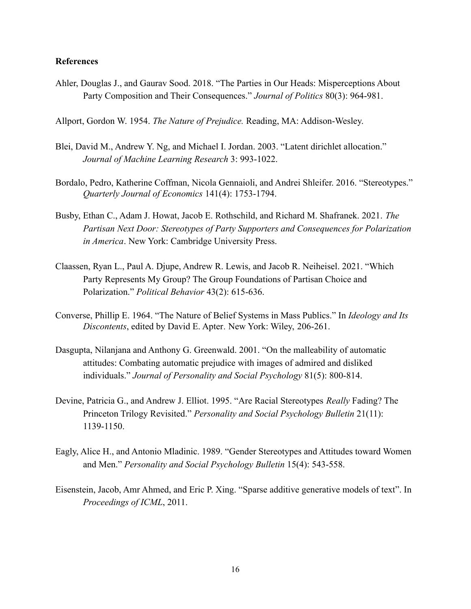# **References**

Ahler, Douglas J., and Gaurav Sood. 2018. "The Parties in Our Heads: Misperceptions About Party Composition and Their Consequences." *Journal of Politics* 80(3): 964-981.

Allport, Gordon W. 1954. *The Nature of Prejudice.* Reading, MA: Addison-Wesley.

- Blei, David M., Andrew Y. Ng, and Michael I. Jordan. 2003. "Latent dirichlet allocation." *Journal of Machine Learning Research* 3: 993-1022.
- Bordalo, Pedro, Katherine Coffman, Nicola Gennaioli, and Andrei Shleifer. 2016. "Stereotypes." *Quarterly Journal of Economics* 141(4): 1753-1794.
- Busby, Ethan C., Adam J. Howat, Jacob E. Rothschild, and Richard M. Shafranek. 2021. *The Partisan Next Door: Stereotypes of Party Supporters and Consequences for Polarization in America*. New York: Cambridge University Press.
- Claassen, Ryan L., Paul A. Djupe, Andrew R. Lewis, and Jacob R. Neiheisel. 2021. "Which Party Represents My Group? The Group Foundations of Partisan Choice and Polarization." *Political Behavior* 43(2): 615-636.
- Converse, Phillip E. 1964. "The Nature of Belief Systems in Mass Publics." In *Ideology and Its Discontents*, edited by David E. Apter*.* New York: Wiley, 206-261.
- Dasgupta, Nilanjana and Anthony G. Greenwald. 2001. "On the malleability of automatic attitudes: Combating automatic prejudice with images of admired and disliked individuals." *Journal of Personality and Social Psychology* 81(5): 800-814.
- Devine, Patricia G., and Andrew J. Elliot. 1995. "Are Racial Stereotypes *Really* Fading? The Princeton Trilogy Revisited." *Personality and Social Psychology Bulletin* 21(11): 1139-1150.
- Eagly, Alice H., and Antonio Mladinic. 1989. "Gender Stereotypes and Attitudes toward Women and Men." *Personality and Social Psychology Bulletin* 15(4): 543-558.
- Eisenstein, Jacob, Amr Ahmed, and Eric P. Xing. "Sparse additive generative models of text". In *Proceedings of ICML*, 2011.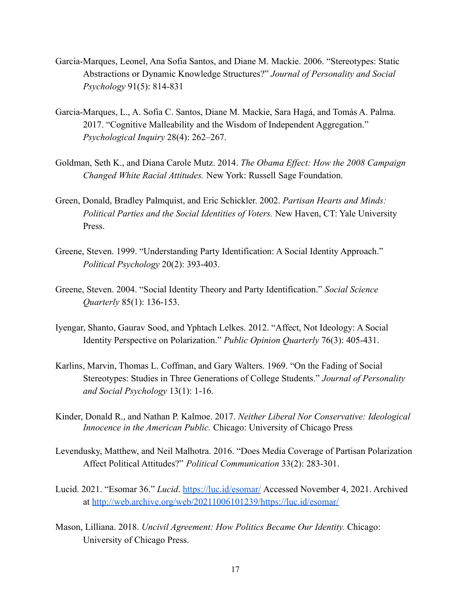- Garcia-Marques, Leonel, Ana Sofia Santos, and Diane M. Mackie. 2006. "Stereotypes: Static Abstractions or Dynamic Knowledge Structures?" *Journal of Personality and Social Psychology* 91(5): 814-831
- Garcia-Marques, L., A. Sofia C. Santos, Diane M. Mackie, Sara Hagá, and Tomás A. Palma. 2017. "Cognitive Malleability and the Wisdom of Independent Aggregation." *Psychological Inquiry* 28(4): 262–267.
- Goldman, Seth K., and Diana Carole Mutz. 2014. *The Obama Effect: How the 2008 Campaign Changed White Racial Attitudes.* New York: Russell Sage Foundation.
- Green, Donald, Bradley Palmquist, and Eric Schickler. 2002. *Partisan Hearts and Minds: Political Parties and the Social Identities of Voters.* New Haven, CT: Yale University Press.
- Greene, Steven. 1999. "Understanding Party Identification: A Social Identity Approach." *Political Psychology* 20(2): 393-403.
- Greene, Steven. 2004. "Social Identity Theory and Party Identification." *Social Science Quarterly* 85(1): 136-153.
- Iyengar, Shanto, Gaurav Sood, and Yphtach Lelkes. 2012. "Affect, Not Ideology: A Social Identity Perspective on Polarization." *Public Opinion Quarterly* 76(3): 405-431.
- Karlins, Marvin, Thomas L. Coffman, and Gary Walters. 1969. "On the Fading of Social Stereotypes: Studies in Three Generations of College Students." *Journal of Personality and Social Psychology* 13(1): 1-16.
- Kinder, Donald R., and Nathan P. Kalmoe. 2017. *Neither Liberal Nor Conservative: Ideological Innocence in the American Public.* Chicago: University of Chicago Press
- Levendusky, Matthew, and Neil Malhotra. 2016. "Does Media Coverage of Partisan Polarization Affect Political Attitudes?" *Political Communication* 33(2): 283-301.
- Lucid. 2021. "Esomar 36." *Lucid*. <https://luc.id/esomar/> Accessed November 4, 2021. Archived at <http://web.archive.org/web/20211006101239/https://luc.id/esomar/>
- Mason, Lilliana. 2018. *Uncivil Agreement: How Politics Became Our Identity.* Chicago: University of Chicago Press.